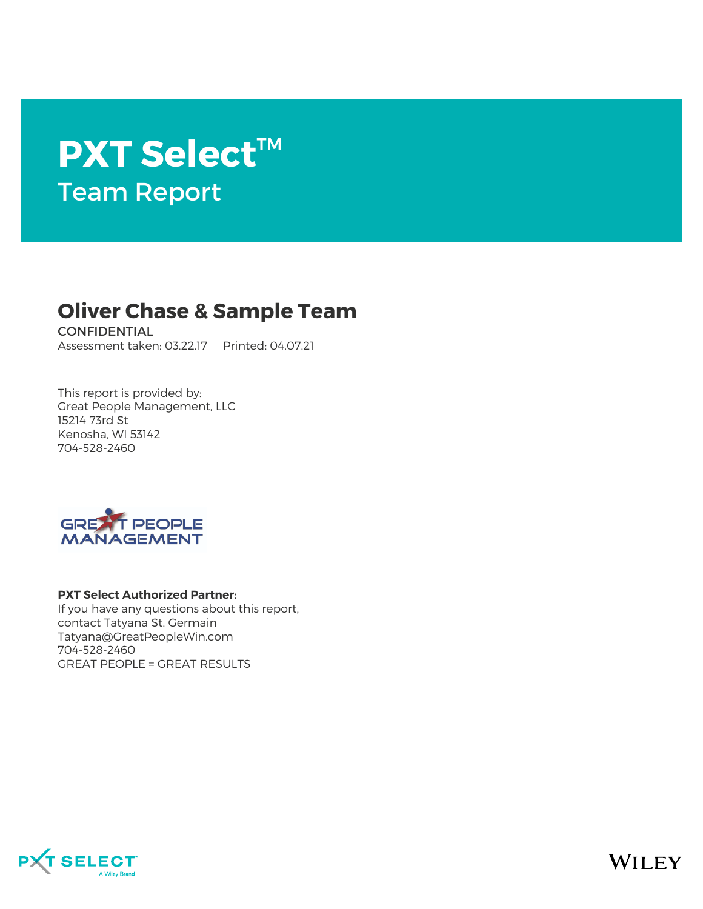# **PXT Select**™ Team Report

### **Oliver Chase & Sample Team**

CONFIDENTIAL Assessment taken: 03.22.17 Printed: 04.07.21

This report is provided by: Great People Management, LLC 15214 73rd St Kenosha, WI 53142 704-528-2460



#### **PXT Select Authorized Partner:**

If you have any questions about this report, contact Tatyana St. Germain Tatyana@GreatPeopleWin.com 704-528-2460 GREAT PEOPLE = GREAT RESULTS



**WILEY**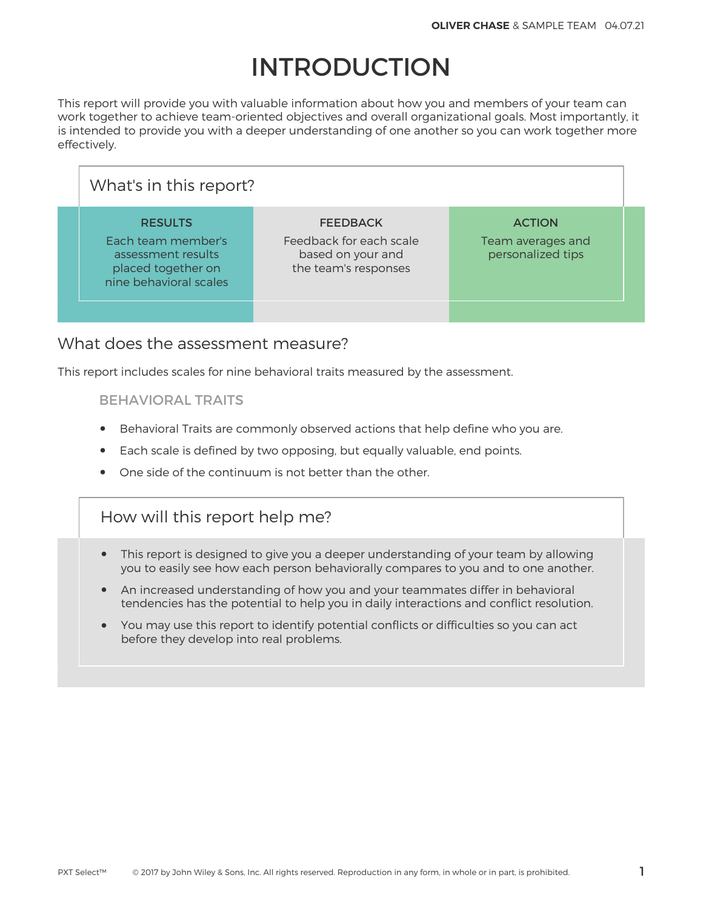## INTRODUCTION

This report will provide you with valuable information about how you and members of your team can work together to achieve team-oriented objectives and overall organizational goals. Most importantly, it is intended to provide you with a deeper understanding of one another so you can work together more effectively.

| What's in this report?                                                                                     |                                                                                         |                                                         |  |
|------------------------------------------------------------------------------------------------------------|-----------------------------------------------------------------------------------------|---------------------------------------------------------|--|
| <b>RESULTS</b><br>Each team member's<br>assessment results<br>placed together on<br>nine behavioral scales | <b>FEEDBACK</b><br>Feedback for each scale<br>based on your and<br>the team's responses | <b>ACTION</b><br>Team averages and<br>personalized tips |  |
|                                                                                                            |                                                                                         |                                                         |  |

### What does the assessment measure?

This report includes scales for nine behavioral traits measured by the assessment.

#### BEHAVIORAL TRAITS

- Behavioral Traits are commonly observed actions that help define who you are.
- Each scale is defined by two opposing, but equally valuable, end points.
- One side of the continuum is not better than the other.

### How will this report help me?

- This report is designed to give you a deeper understanding of your team by allowing you to easily see how each person behaviorally compares to you and to one another.
- An increased understanding of how you and your teammates differ in behavioral tendencies has the potential to help you in daily interactions and conflict resolution.
- You may use this report to identify potential conflicts or difficulties so you can act before they develop into real problems.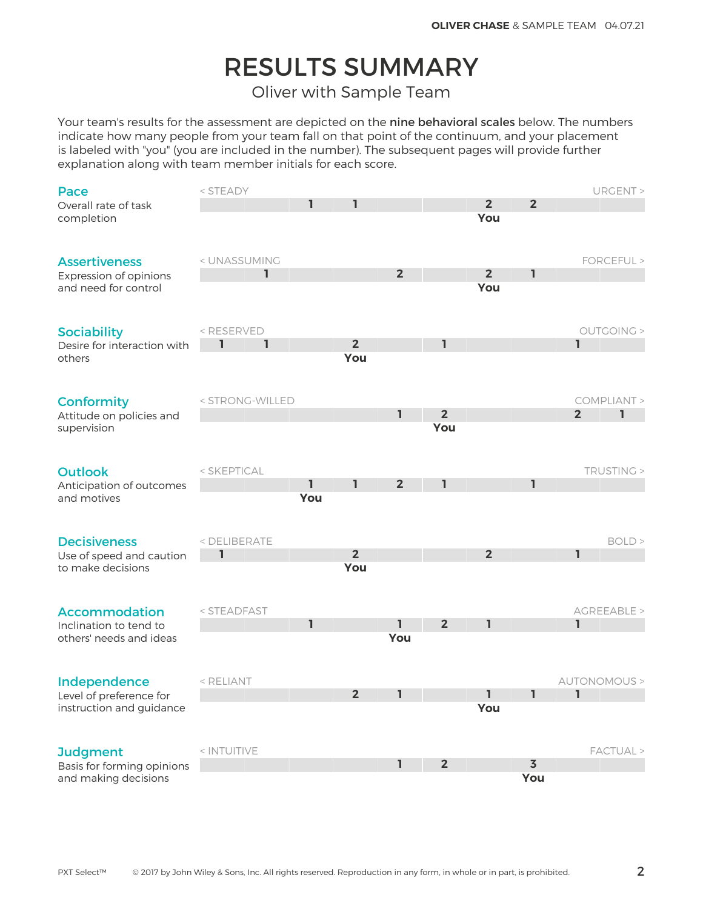## RESULTS SUMMARY

Oliver with Sample Team

Your team's results for the assessment are depicted on the nine behavioral scales below. The numbers indicate how many people from your team fall on that point of the continuum, and your placement is labeled with "you" (you are included in the number). The subsequent pages will provide further explanation along with team member initials for each score.

| Pace                        | < STEADY                                                                                                           |     |                |                |                |                |                         |                | URGENT >     |
|-----------------------------|--------------------------------------------------------------------------------------------------------------------|-----|----------------|----------------|----------------|----------------|-------------------------|----------------|--------------|
| Overall rate of task        |                                                                                                                    | 1   | ı              |                |                | $\overline{2}$ | $\overline{2}$          |                |              |
| completion                  |                                                                                                                    |     |                |                |                | You            |                         |                |              |
|                             |                                                                                                                    |     |                |                |                |                |                         |                |              |
|                             |                                                                                                                    |     |                |                |                |                |                         |                |              |
| <b>Assertiveness</b>        | < UNASSUMING                                                                                                       |     |                |                |                |                |                         |                | FORCEFUL >   |
| Expression of opinions      | ı                                                                                                                  |     |                | $\overline{2}$ |                | $\overline{2}$ | ı                       |                |              |
| and need for control        |                                                                                                                    |     |                |                |                | You            |                         |                |              |
|                             |                                                                                                                    |     |                |                |                |                |                         |                |              |
|                             |                                                                                                                    |     |                |                |                |                |                         |                |              |
| <b>Sociability</b>          | <reserved< td=""><td></td><td></td><td></td><td></td><td></td><td></td><td></td><td>OUTGOING &gt;</td></reserved<> |     |                |                |                |                |                         |                | OUTGOING >   |
| Desire for interaction with | ı<br>ı                                                                                                             |     | 2 <sup>2</sup> |                | ı              |                |                         | I.             |              |
| others                      |                                                                                                                    |     | You            |                |                |                |                         |                |              |
|                             |                                                                                                                    |     |                |                |                |                |                         |                |              |
|                             |                                                                                                                    |     |                |                |                |                |                         |                |              |
| <b>Conformity</b>           | < STRONG-WILLED                                                                                                    |     |                |                | $\overline{2}$ |                |                         |                | COMPLIANT >  |
| Attitude on policies and    |                                                                                                                    |     |                | $\mathbf{I}$   | You            |                |                         | $\overline{2}$ | ı            |
| supervision                 |                                                                                                                    |     |                |                |                |                |                         |                |              |
|                             |                                                                                                                    |     |                |                |                |                |                         |                |              |
| <b>Outlook</b>              | < SKEPTICAL                                                                                                        |     |                |                |                |                |                         |                | TRUSTING >   |
| Anticipation of outcomes    |                                                                                                                    | ı   | 1              | 2 <sup>2</sup> | 1              |                | ı                       |                |              |
| and motives                 |                                                                                                                    | You |                |                |                |                |                         |                |              |
|                             |                                                                                                                    |     |                |                |                |                |                         |                |              |
|                             |                                                                                                                    |     |                |                |                |                |                         |                |              |
| <b>Decisiveness</b>         | < DELIBERATE                                                                                                       |     |                |                |                |                |                         |                | BOLD         |
| Use of speed and caution    | 1                                                                                                                  |     | 2 <sup>2</sup> |                |                | 2 <sup>2</sup> |                         | ı              |              |
| to make decisions           |                                                                                                                    |     | You            |                |                |                |                         |                |              |
|                             |                                                                                                                    |     |                |                |                |                |                         |                |              |
|                             |                                                                                                                    |     |                |                |                |                |                         |                |              |
| <b>Accommodation</b>        | < STEADFAST                                                                                                        |     |                |                |                |                |                         |                | AGREEABLE >  |
| Inclination to tend to      |                                                                                                                    | I.  |                | ı.             | $\overline{2}$ | 1              |                         | $\mathbf{I}$   |              |
| others' needs and ideas     |                                                                                                                    |     |                | You            |                |                |                         |                |              |
|                             |                                                                                                                    |     |                |                |                |                |                         |                |              |
|                             |                                                                                                                    |     |                |                |                |                |                         |                |              |
| Independence                | < RELIANT                                                                                                          |     |                |                |                |                |                         |                | AUTONOMOUS > |
| Level of preference for     |                                                                                                                    |     | $\overline{2}$ | I.             |                | I.             | ı                       | I.             |              |
| instruction and guidance    |                                                                                                                    |     |                |                |                | You            |                         |                |              |
|                             |                                                                                                                    |     |                |                |                |                |                         |                |              |
|                             |                                                                                                                    |     |                |                |                |                |                         |                |              |
| <b>Judgment</b>             | < INTUITIVE                                                                                                        |     |                |                |                |                |                         |                | FACTUAL >    |
| Basis for forming opinions  |                                                                                                                    |     |                | ı.             | $\overline{2}$ |                | $\overline{\mathbf{3}}$ |                |              |
| and making decisions        |                                                                                                                    |     |                |                |                |                | You                     |                |              |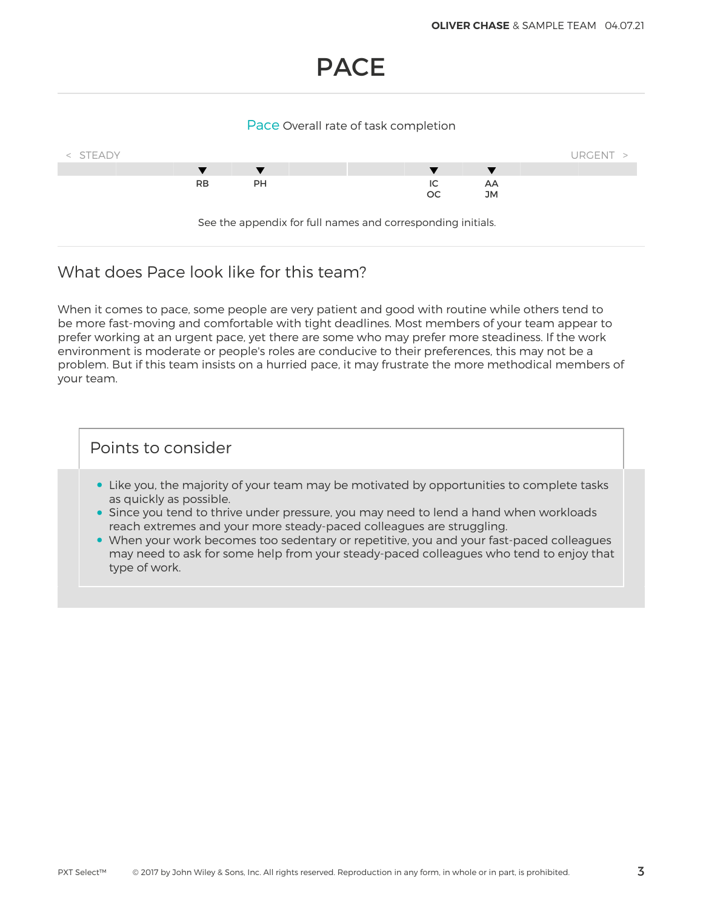### PACE

#### Pace Overall rate of task completion



### What does Pace look like for this team?

When it comes to pace, some people are very patient and good with routine while others tend to be more fast-moving and comfortable with tight deadlines. Most members of your team appear to prefer working at an urgent pace, yet there are some who may prefer more steadiness. If the work environment is moderate or people's roles are conducive to their preferences, this may not be a problem. But if this team insists on a hurried pace, it may frustrate the more methodical members of your team.

- Like you, the majority of your team may be motivated by opportunities to complete tasks as quickly as possible.
- Since you tend to thrive under pressure, you may need to lend a hand when workloads reach extremes and your more steady-paced colleagues are struggling.
- When your work becomes too sedentary or repetitive, you and your fast-paced colleagues may need to ask for some help from your steady-paced colleagues who tend to enjoy that type of work.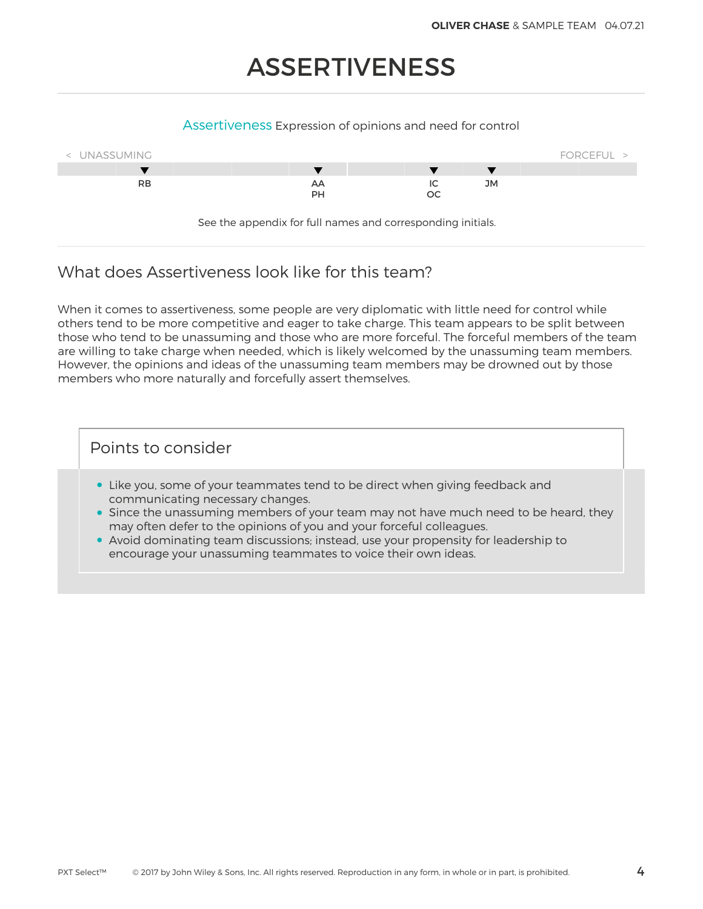## ASSERTIVENESS

#### Assertiveness Expression of opinions and need for control



See the appendix for full names and corresponding initials.

### What does Assertiveness look like for this team?

When it comes to assertiveness, some people are very diplomatic with little need for control while others tend to be more competitive and eager to take charge. This team appears to be split between those who tend to be unassuming and those who are more forceful. The forceful members of the team are willing to take charge when needed, which is likely welcomed by the unassuming team members. However, the opinions and ideas of the unassuming team members may be drowned out by those members who more naturally and forcefully assert themselves.

- Like you, some of your teammates tend to be direct when giving feedback and communicating necessary changes.
- Since the unassuming members of your team may not have much need to be heard, they may often defer to the opinions of you and your forceful colleagues.
- Avoid dominating team discussions; instead, use your propensity for leadership to encourage your unassuming teammates to voice their own ideas.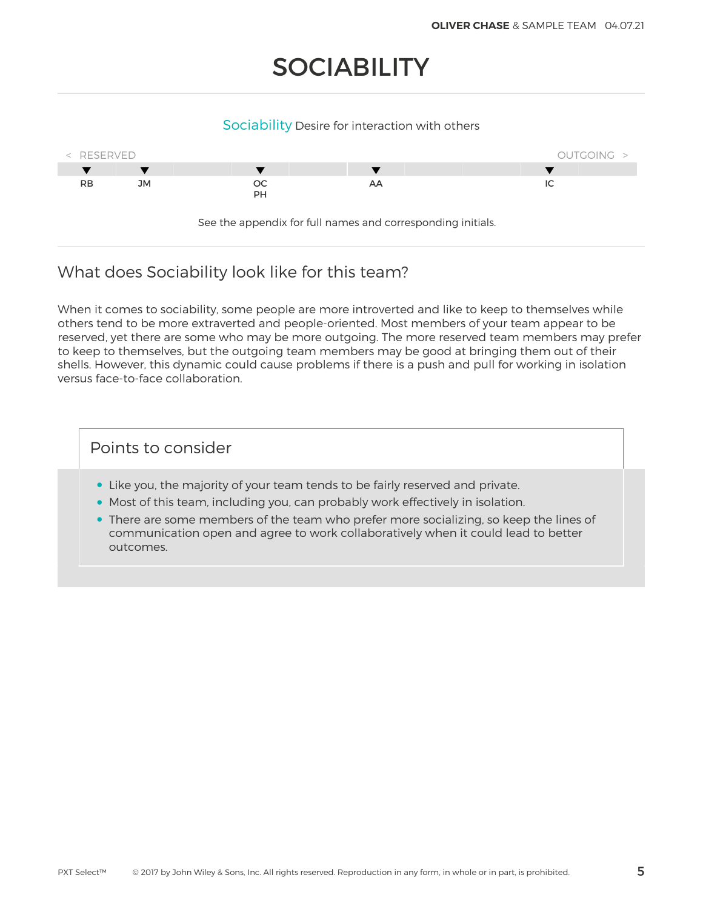## **SOCIABILITY**

#### Sociability Desire for interaction with others



### What does Sociability look like for this team?

When it comes to sociability, some people are more introverted and like to keep to themselves while others tend to be more extraverted and people-oriented. Most members of your team appear to be reserved, yet there are some who may be more outgoing. The more reserved team members may prefer to keep to themselves, but the outgoing team members may be good at bringing them out of their shells. However, this dynamic could cause problems if there is a push and pull for working in isolation versus face-to-face collaboration.

- Like you, the majority of your team tends to be fairly reserved and private.
- Most of this team, including you, can probably work effectively in isolation.
- There are some members of the team who prefer more socializing, so keep the lines of communication open and agree to work collaboratively when it could lead to better outcomes.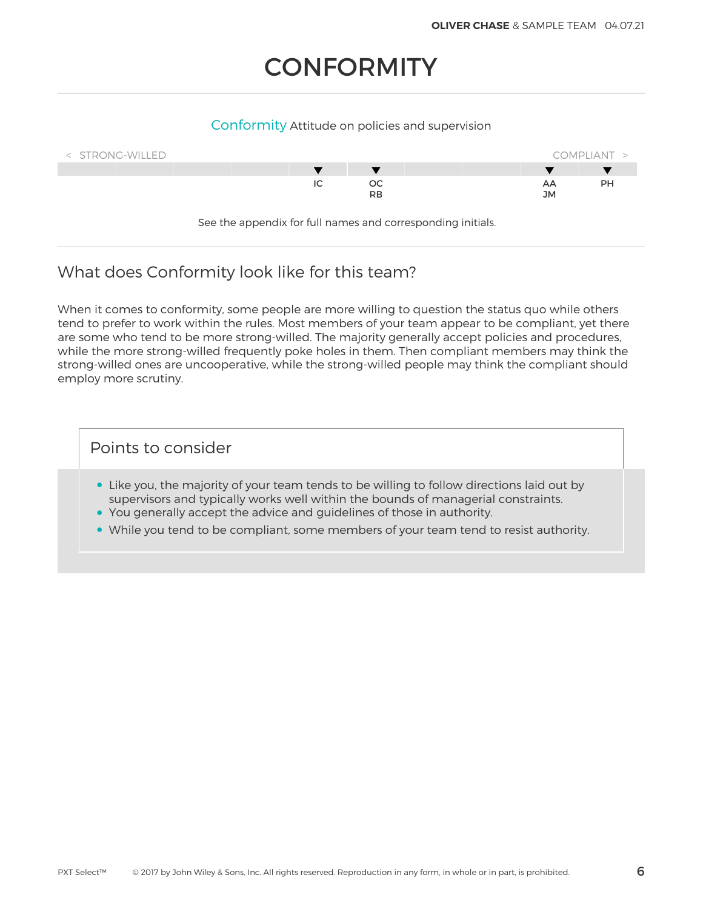## **CONFORMITY**

#### Conformity Attitude on policies and supervision



See the appendix for full names and corresponding initials.

### What does Conformity look like for this team?

When it comes to conformity, some people are more willing to question the status quo while others tend to prefer to work within the rules. Most members of your team appear to be compliant, yet there are some who tend to be more strong-willed. The majority generally accept policies and procedures, while the more strong-willed frequently poke holes in them. Then compliant members may think the strong-willed ones are uncooperative, while the strong-willed people may think the compliant should employ more scrutiny.

- Like you, the majority of your team tends to be willing to follow directions laid out by supervisors and typically works well within the bounds of managerial constraints.
- You generally accept the advice and guidelines of those in authority.
- While you tend to be compliant, some members of your team tend to resist authority.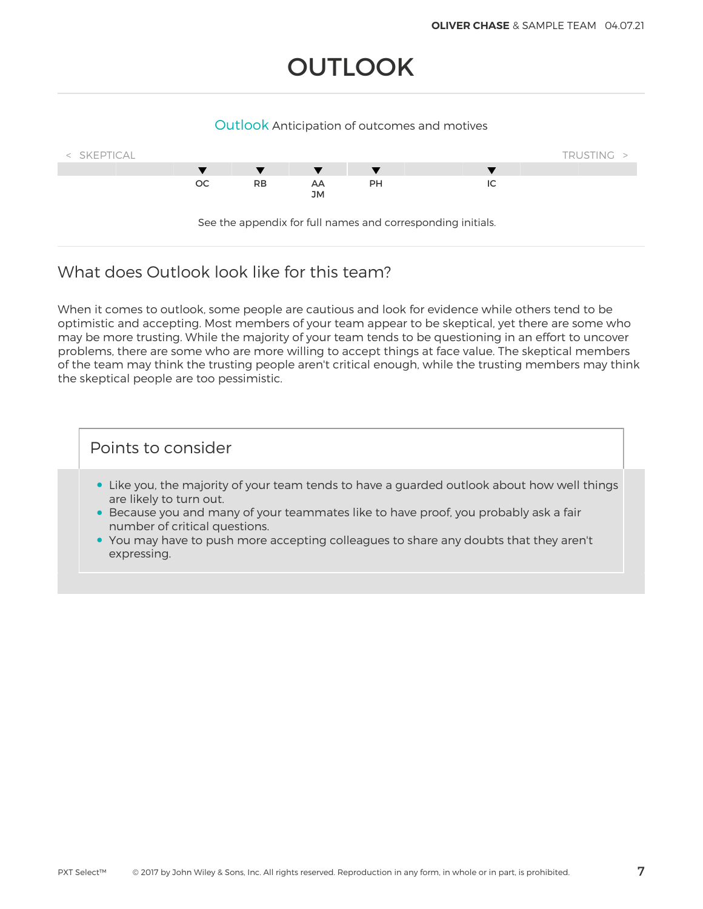## **OUTLOOK**

#### Outlook Anticipation of outcomes and motives



### What does Outlook look like for this team?

When it comes to outlook, some people are cautious and look for evidence while others tend to be optimistic and accepting. Most members of your team appear to be skeptical, yet there are some who may be more trusting. While the majority of your team tends to be questioning in an effort to uncover problems, there are some who are more willing to accept things at face value. The skeptical members of the team may think the trusting people aren't critical enough, while the trusting members may think the skeptical people are too pessimistic.

- Like you, the majority of your team tends to have a guarded outlook about how well things are likely to turn out.
- Because you and many of your teammates like to have proof, you probably ask a fair number of critical questions.
- You may have to push more accepting colleagues to share any doubts that they aren't expressing.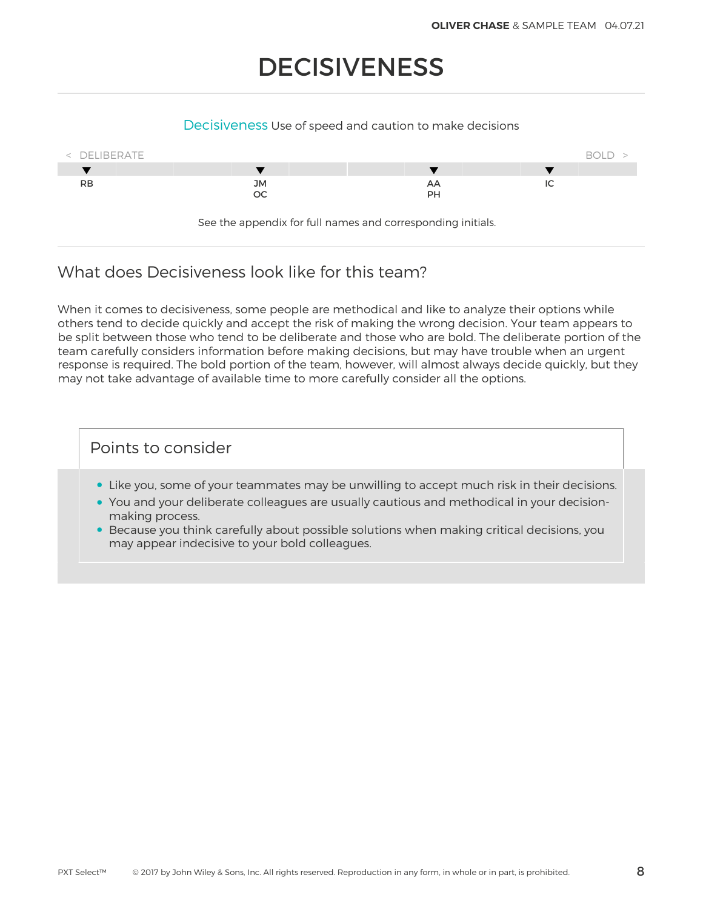## DECISIVENESS

#### Decisiveness Use of speed and caution to make decisions



See the appendix for full names and corresponding initials.

### What does Decisiveness look like for this team?

When it comes to decisiveness, some people are methodical and like to analyze their options while others tend to decide quickly and accept the risk of making the wrong decision. Your team appears to be split between those who tend to be deliberate and those who are bold. The deliberate portion of the team carefully considers information before making decisions, but may have trouble when an urgent response is required. The bold portion of the team, however, will almost always decide quickly, but they may not take advantage of available time to more carefully consider all the options.

- Like you, some of your teammates may be unwilling to accept much risk in their decisions.
- You and your deliberate colleagues are usually cautious and methodical in your decisionmaking process.
- Because you think carefully about possible solutions when making critical decisions, you may appear indecisive to your bold colleagues.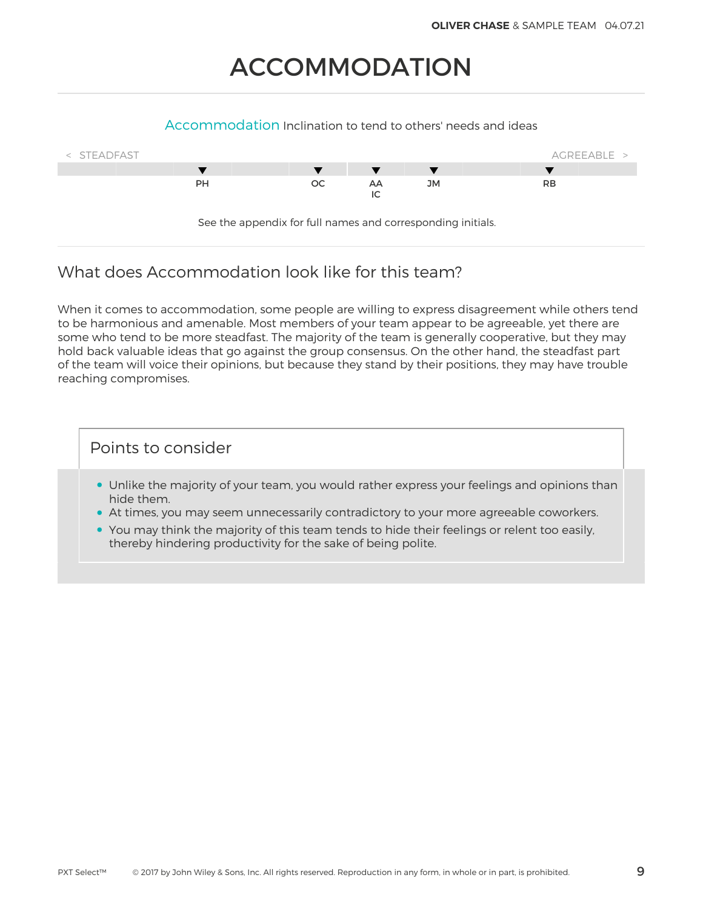## ACCOMMODATION

#### Accommodation Inclination to tend to others' needs and ideas



### What does Accommodation look like for this team?

When it comes to accommodation, some people are willing to express disagreement while others tend to be harmonious and amenable. Most members of your team appear to be agreeable, yet there are some who tend to be more steadfast. The majority of the team is generally cooperative, but they may hold back valuable ideas that go against the group consensus. On the other hand, the steadfast part of the team will voice their opinions, but because they stand by their positions, they may have trouble reaching compromises.

- Unlike the majority of your team, you would rather express your feelings and opinions than hide them.
- At times, you may seem unnecessarily contradictory to your more agreeable coworkers.
- You may think the majority of this team tends to hide their feelings or relent too easily, thereby hindering productivity for the sake of being polite.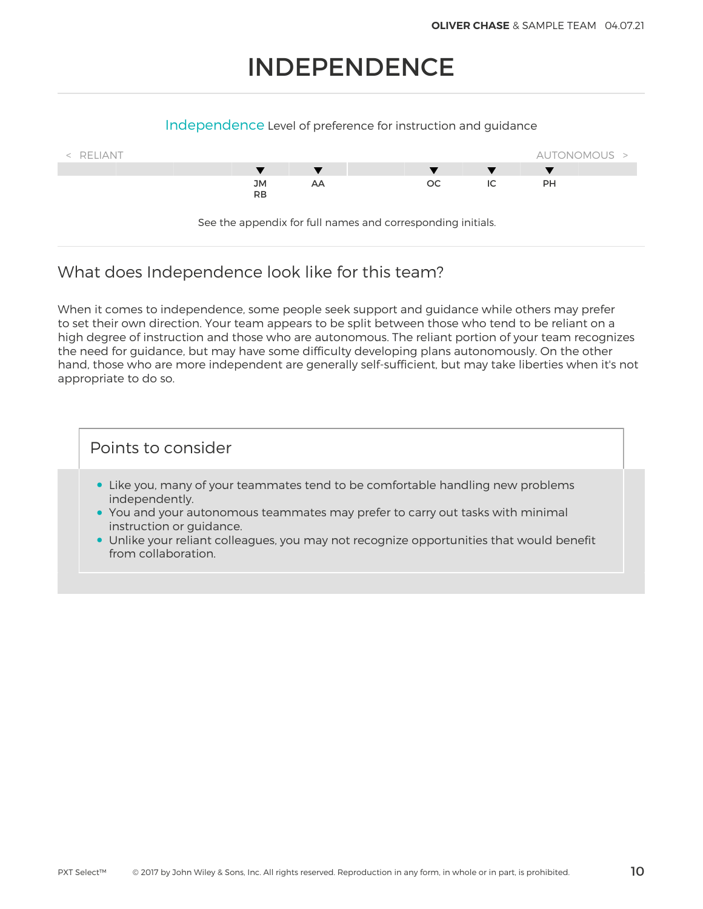## INDEPENDENCE

#### Independence Level of preference for instruction and guidance



### What does Independence look like for this team?

When it comes to independence, some people seek support and guidance while others may prefer to set their own direction. Your team appears to be split between those who tend to be reliant on a high degree of instruction and those who are autonomous. The reliant portion of your team recognizes the need for guidance, but may have some difficulty developing plans autonomously. On the other hand, those who are more independent are generally self-sufficient, but may take liberties when it's not appropriate to do so.

- Like you, many of your teammates tend to be comfortable handling new problems independently.
- You and your autonomous teammates may prefer to carry out tasks with minimal instruction or guidance.
- Unlike your reliant colleagues, you may not recognize opportunities that would benefit from collaboration.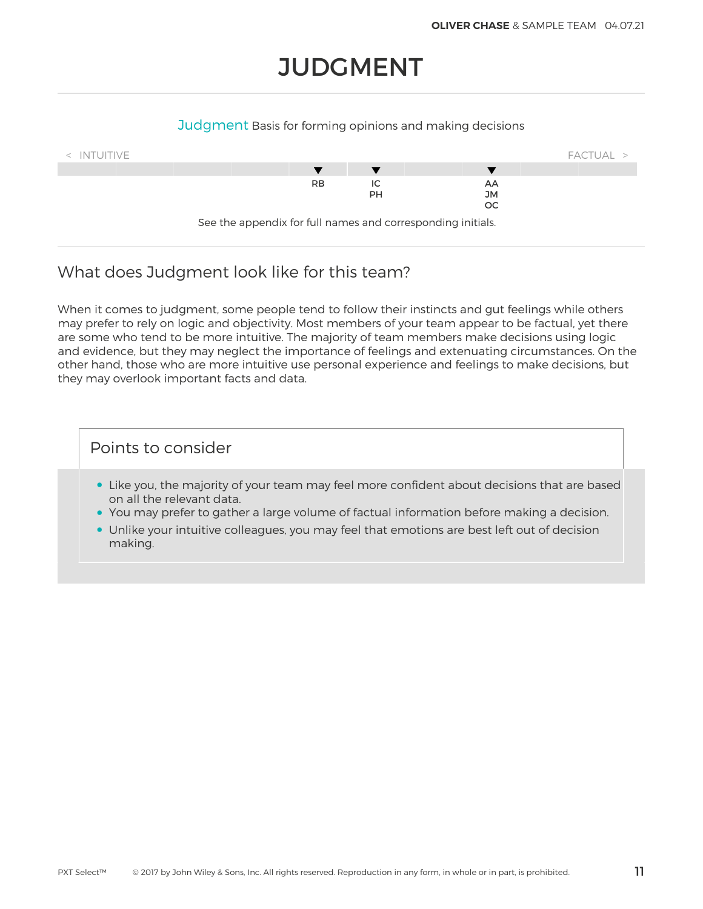## **JUDGMENT**

#### Judgment Basis for forming opinions and making decisions



### What does Judgment look like for this team?

When it comes to judgment, some people tend to follow their instincts and gut feelings while others may prefer to rely on logic and objectivity. Most members of your team appear to be factual, yet there are some who tend to be more intuitive. The majority of team members make decisions using logic and evidence, but they may neglect the importance of feelings and extenuating circumstances. On the other hand, those who are more intuitive use personal experience and feelings to make decisions, but they may overlook important facts and data.

- Like you, the majority of your team may feel more confident about decisions that are based on all the relevant data.
- You may prefer to gather a large volume of factual information before making a decision.
- Unlike your intuitive colleagues, you may feel that emotions are best left out of decision making.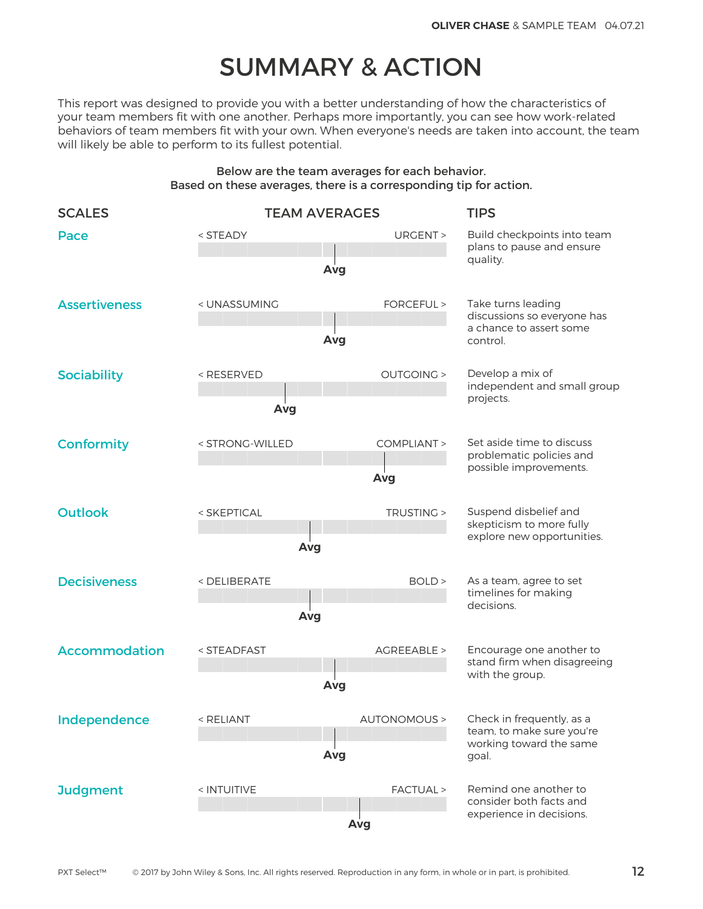## SUMMARY & ACTION

This report was designed to provide you with a better understanding of how the characteristics of your team members fit with one another. Perhaps more importantly, you can see how work-related behaviors of team members fit with your own. When everyone's needs are taken into account, the team will likely be able to perform to its fullest potential.

#### Below are the team averages for each behavior. Based on these averages, there is a corresponding tip for action.

| <b>SCALES</b>        |                                                                                                                                                  | <b>TEAM AVERAGES</b> | <b>TIPS</b>                                                          |  |
|----------------------|--------------------------------------------------------------------------------------------------------------------------------------------------|----------------------|----------------------------------------------------------------------|--|
| Pace                 | <steady< td=""><td>URGENT &gt;<br/>Avg</td><td colspan="2">Build checkpoints into team<br/>plans to pause and ensure<br/>quality.</td></steady<> | URGENT ><br>Avg      | Build checkpoints into team<br>plans to pause and ensure<br>quality. |  |
|                      |                                                                                                                                                  |                      |                                                                      |  |
| <b>Assertiveness</b> | < UNASSUMING                                                                                                                                     | FORCEFUL >           | Take turns leading<br>discussions so everyone has                    |  |
|                      |                                                                                                                                                  | Avg                  | a chance to assert some<br>control.                                  |  |
| <b>Sociability</b>   | <reserved< td=""><td><b>OUTGOING &gt;</b></td><td colspan="2">Develop a mix of<br/>independent and small group</td></reserved<>                  | <b>OUTGOING &gt;</b> | Develop a mix of<br>independent and small group                      |  |
|                      | Avg                                                                                                                                              |                      | projects.                                                            |  |
| <b>Conformity</b>    | < STRONG-WILLED                                                                                                                                  | COMPLIANT >          | Set aside time to discuss<br>problematic policies and                |  |
|                      |                                                                                                                                                  | Avg                  | possible improvements.                                               |  |
| <b>Outlook</b>       | TRUSTING ><br>< SKEPTICAL                                                                                                                        |                      | Suspend disbelief and<br>skepticism to more fully                    |  |
|                      | Avg                                                                                                                                              |                      | explore new opportunities.                                           |  |
| <b>Decisiveness</b>  | <deliberate<br>BOLD &gt;</deliberate<br>                                                                                                         |                      | As a team, agree to set<br>timelines for making                      |  |
|                      | Avg                                                                                                                                              | decisions.           |                                                                      |  |
| <b>Accommodation</b> | < STEADFAST                                                                                                                                      | AGREEABLE >          | Encourage one another to<br>stand firm when disagreeing              |  |
|                      |                                                                                                                                                  | Avg                  | with the group.                                                      |  |
| Independence         | < RELIANT                                                                                                                                        |                      | AUTONOMOUS > Check in frequently, as a                               |  |
|                      |                                                                                                                                                  | Avg                  | team, to make sure you're<br>working toward the same<br>goal.        |  |
| <b>Judgment</b>      | < INTUITIVE                                                                                                                                      | FACTUAL >            | Remind one another to<br>consider both facts and                     |  |
|                      |                                                                                                                                                  | Avg                  | experience in decisions.                                             |  |